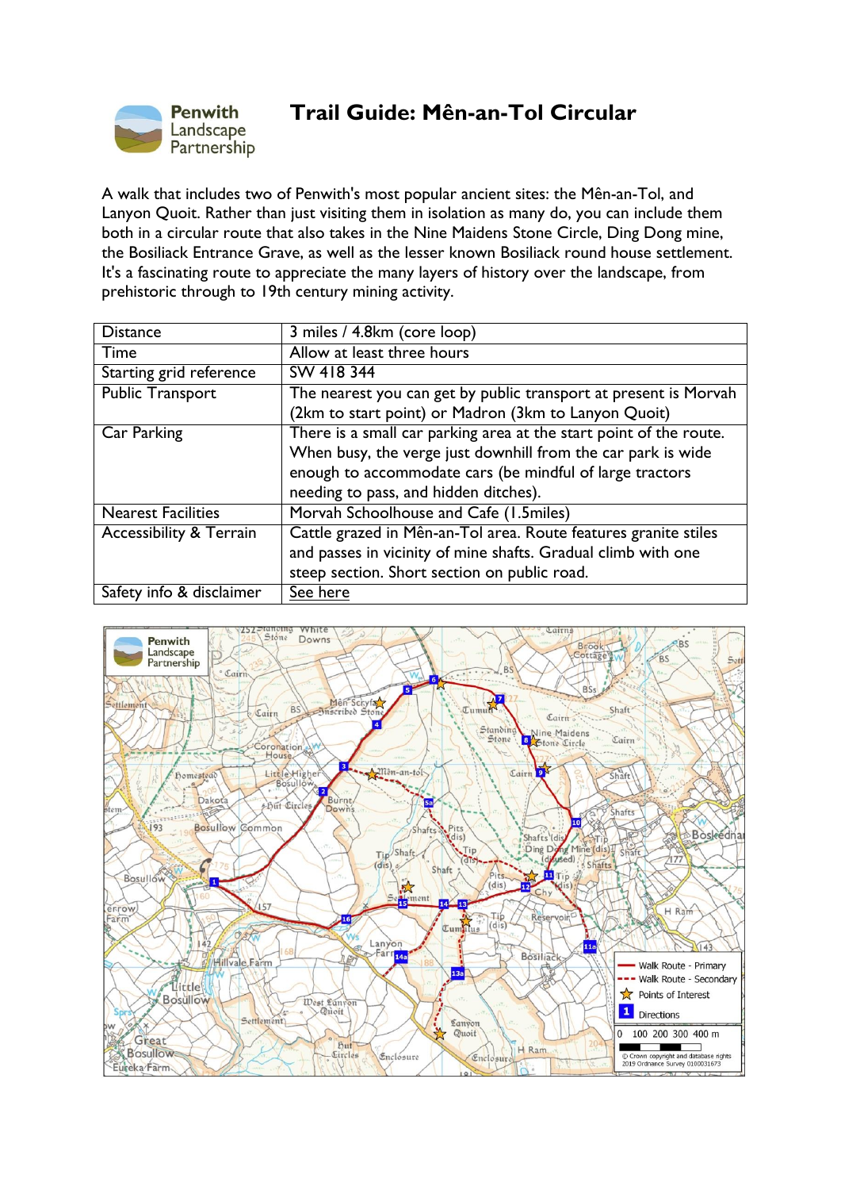

## **Trail Guide: Mên-an-Tol Circular**

A walk that includes two of Penwith's most popular ancient sites: the Mên-an-Tol, and Lanyon Quoit. Rather than just visiting them in isolation as many do, you can include them both in a circular route that also takes in the Nine Maidens Stone Circle, Ding Dong mine, the Bosiliack Entrance Grave, as well as the lesser known Bosiliack round house settlement. It's a fascinating route to appreciate the many layers of history over the landscape, from prehistoric through to 19th century mining activity.

| <b>Distance</b>                    | 3 miles / 4.8km (core loop)                                        |
|------------------------------------|--------------------------------------------------------------------|
| Time                               | Allow at least three hours                                         |
| Starting grid reference            | SW 418 344                                                         |
| <b>Public Transport</b>            | The nearest you can get by public transport at present is Morvah   |
|                                    | (2km to start point) or Madron (3km to Lanyon Quoit)               |
| Car Parking                        | There is a small car parking area at the start point of the route. |
|                                    | When busy, the verge just downhill from the car park is wide       |
|                                    | enough to accommodate cars (be mindful of large tractors           |
|                                    | needing to pass, and hidden ditches).                              |
| <b>Nearest Facilities</b>          | Morvah Schoolhouse and Cafe (1.5miles)                             |
| <b>Accessibility &amp; Terrain</b> | Cattle grazed in Mên-an-Tol area. Route features granite stiles    |
|                                    | and passes in vicinity of mine shafts. Gradual climb with one      |
|                                    | steep section. Short section on public road.                       |
| Safety info & disclaimer           | See here                                                           |

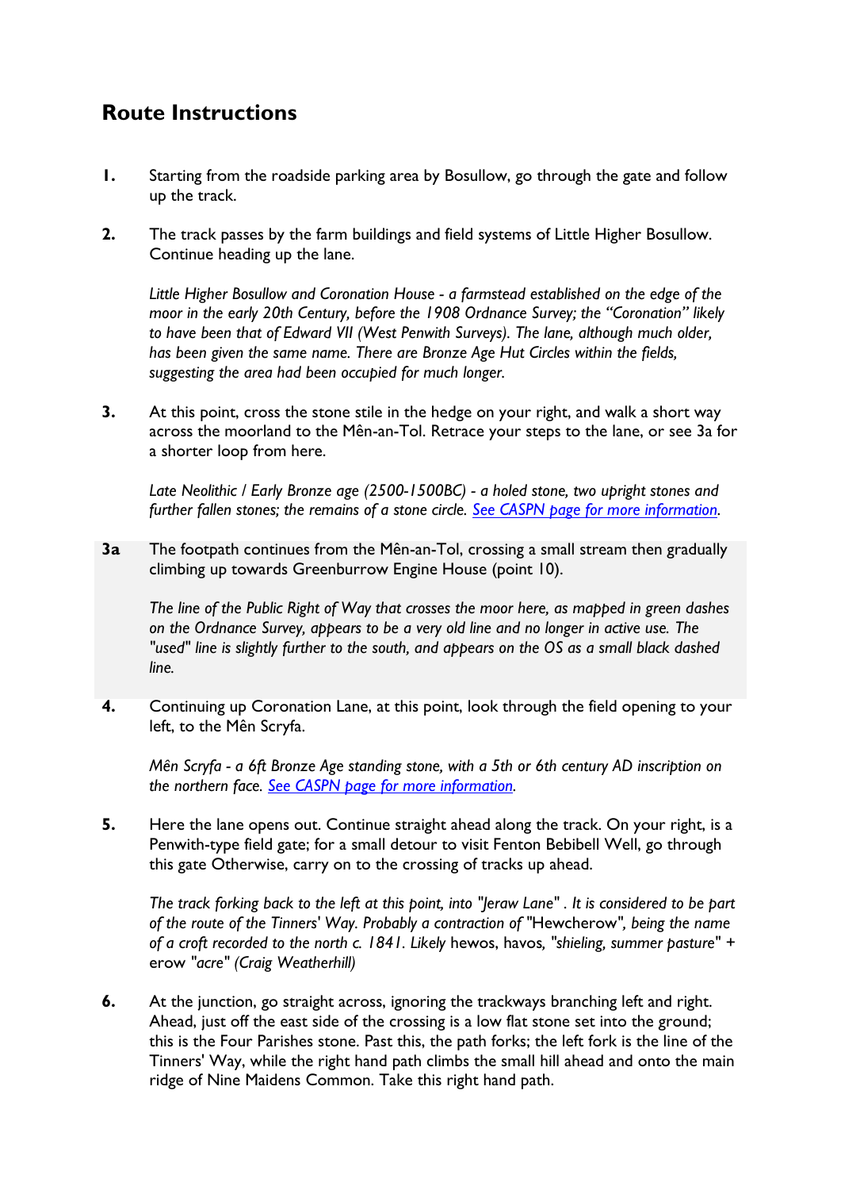## **Route Instructions**

- **1.** Starting from the roadside parking area by Bosullow, go through the gate and follow up the track.
- **2.** The track passes by the farm buildings and field systems of Little Higher Bosullow. Continue heading up the lane.

*Little Higher Bosullow and Coronation House - a farmstead established on the edge of the moor in the early 20th Century, before the 1908 Ordnance Survey; the "Coronation" likely to have been that of Edward VII (West Penwith Surveys). The lane, although much older, has been given the same name. There are Bronze Age Hut Circles within the fields, suggesting the area had been occupied for much longer.* 

**3.** At this point, cross the stone stile in the hedge on your right, and walk a short way across the moorland to the Mên-an-Tol. Retrace your steps to the lane, or see 3a for a shorter loop from here.

*Late Neolithic / Early Bronze age (2500-1500BC) - a holed stone, two upright stones and further fallen stones; the remains of a stone circle. [See CASPN page for more information.](https://www.cornishancientsites.com/ancient-sites/men-an-tol/)*

**3a** The footpath continues from the Mên-an-Tol, crossing a small stream then gradually climbing up towards Greenburrow Engine House (point 10).

*The line of the Public Right of Way that crosses the moor here, as mapped in green dashes on the Ordnance Survey, appears to be a very old line and no longer in active use. The "used" line is slightly further to the south, and appears on the OS as a small black dashed line.*

**4.** Continuing up Coronation Lane, at this point, look through the field opening to your left, to the Mên Scryfa.

*Mên Scryfa - a 6ft Bronze Age standing stone, with a 5th or 6th century AD inscription on the northern face. [See CASPN page for more](https://www.cornishancientsites.com/ancient-sites/men-scryfa-standing-stone/) information.*

**5.** Here the lane opens out. Continue straight ahead along the track. On your right, is a Penwith-type field gate; for a small detour to visit Fenton Bebibell Well, go through this gate Otherwise, carry on to the crossing of tracks up ahead.

*The track forking back to the left at this point, into "Jeraw Lane" . It is considered to be part of the route of the Tinners' Way. Probably a contraction of "*Hewcherow*", being the name of a croft recorded to the north c. 1841. Likely* hewos, havos*, "shieling, summer pasture" +*  erow *"acre" (Craig Weatherhill)*

**6.** At the junction, go straight across, ignoring the trackways branching left and right. Ahead, just off the east side of the crossing is a low flat stone set into the ground; this is the Four Parishes stone. Past this, the path forks; the left fork is the line of the Tinners' Way, while the right hand path climbs the small hill ahead and onto the main ridge of Nine Maidens Common. Take this right hand path.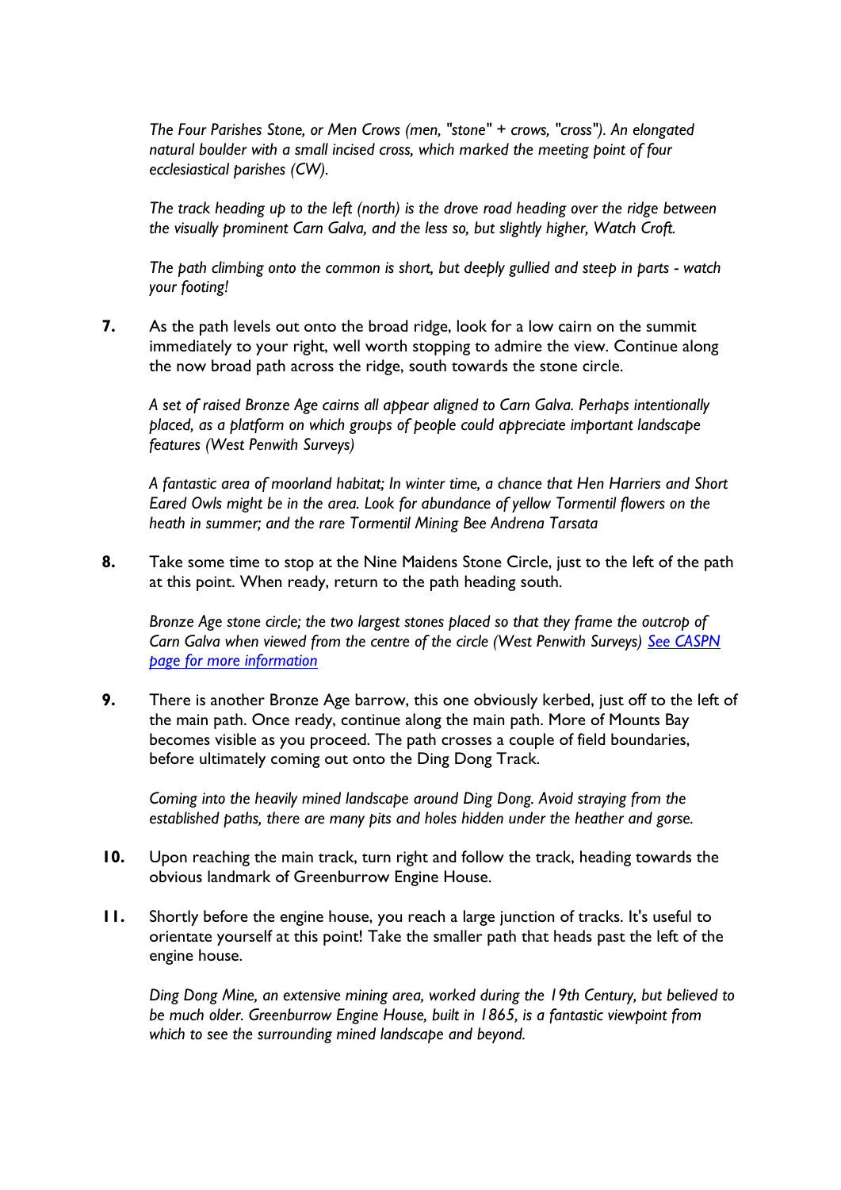*The Four Parishes Stone, or Men Crows (men, "stone" + crows, "cross"). An elongated natural boulder with a small incised cross, which marked the meeting point of four ecclesiastical parishes (CW).*

*The track heading up to the left (north) is the drove road heading over the ridge between the visually prominent Carn Galva, and the less so, but slightly higher, Watch Croft.*

*The path climbing onto the common is short, but deeply gullied and steep in parts - watch your footing!*

**7.** As the path levels out onto the broad ridge, look for a low cairn on the summit immediately to your right, well worth stopping to admire the view. Continue along the now broad path across the ridge, south towards the stone circle.

*A set of raised Bronze Age cairns all appear aligned to Carn Galva. Perhaps intentionally placed, as a platform on which groups of people could appreciate important landscape features (West Penwith Surveys)*

*A fantastic area of moorland habitat; In winter time, a chance that Hen Harriers and Short Eared Owls might be in the area. Look for abundance of yellow Tormentil flowers on the heath in summer; and the rare Tormentil Mining Bee Andrena Tarsata*

**8.** Take some time to stop at the Nine Maidens Stone Circle, just to the left of the path at this point. When ready, return to the path heading south.

*Bronze Age stone circle; the two largest stones placed so that they frame the outcrop of Carn Galva when viewed from the centre of the circle (West Penwith Surveys) [See CASPN](https://www.cornishancientsites.com/ancient-sites/boskednan-nine-maidens/)  [page for more information](https://www.cornishancientsites.com/ancient-sites/boskednan-nine-maidens/)*

**9.** There is another Bronze Age barrow, this one obviously kerbed, just off to the left of the main path. Once ready, continue along the main path. More of Mounts Bay becomes visible as you proceed. The path crosses a couple of field boundaries, before ultimately coming out onto the Ding Dong Track.

*Coming into the heavily mined landscape around Ding Dong. Avoid straying from the established paths, there are many pits and holes hidden under the heather and gorse.*

- **10.** Upon reaching the main track, turn right and follow the track, heading towards the obvious landmark of Greenburrow Engine House.
- **11.** Shortly before the engine house, you reach a large junction of tracks. It's useful to orientate yourself at this point! Take the smaller path that heads past the left of the engine house.

*Ding Dong Mine, an extensive mining area, worked during the 19th Century, but believed to be much older. Greenburrow Engine House, built in 1865, is a fantastic viewpoint from which to see the surrounding mined landscape and beyond.*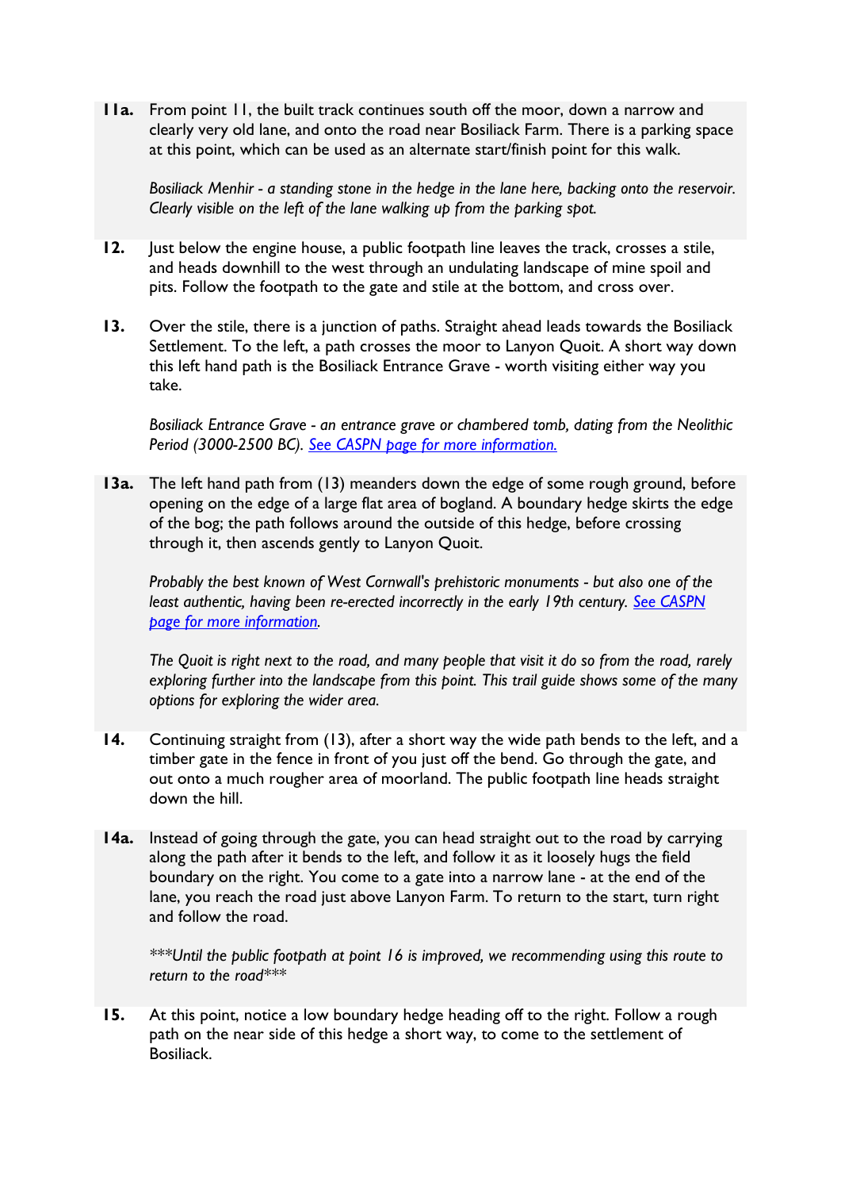**11a.** From point 11, the built track continues south off the moor, down a narrow and clearly very old lane, and onto the road near Bosiliack Farm. There is a parking space at this point, which can be used as an alternate start/finish point for this walk.

*Bosiliack Menhir - a standing stone in the hedge in the lane here, backing onto the reservoir. Clearly visible on the left of the lane walking up from the parking spot.*

- **12.** Just below the engine house, a public footpath line leaves the track, crosses a stile, and heads downhill to the west through an undulating landscape of mine spoil and pits. Follow the footpath to the gate and stile at the bottom, and cross over.
- **13.** Over the stile, there is a junction of paths. Straight ahead leads towards the Bosiliack Settlement. To the left, a path crosses the moor to Lanyon Quoit. A short way down this left hand path is the Bosiliack Entrance Grave - worth visiting either way you take.

*Bosiliack Entrance Grave - an entrance grave or chambered tomb, dating from the Neolithic Period (3000-2500 BC). [See CASPN page for more information.](https://www.cornishancientsites.com/ancient-sites/1851/)*

**13a.** The left hand path from (13) meanders down the edge of some rough ground, before opening on the edge of a large flat area of bogland. A boundary hedge skirts the edge of the bog; the path follows around the outside of this hedge, before crossing through it, then ascends gently to Lanyon Quoit.

*Probably the best known of West Cornwall's prehistoric monuments - but also one of the least authentic, having been re-erected incorrectly in the early 19th century. [See CASPN](https://www.cornishancientsites.com/ancient-sites/lanyon-quoit/)  [page for more information.](https://www.cornishancientsites.com/ancient-sites/lanyon-quoit/)*

*The Quoit is right next to the road, and many people that visit it do so from the road, rarely exploring further into the landscape from this point. This trail guide shows some of the many options for exploring the wider area.*

- **14.** Continuing straight from (13), after a short way the wide path bends to the left, and a timber gate in the fence in front of you just off the bend. Go through the gate, and out onto a much rougher area of moorland. The public footpath line heads straight down the hill.
- **14a.** Instead of going through the gate, you can head straight out to the road by carrying along the path after it bends to the left, and follow it as it loosely hugs the field boundary on the right. You come to a gate into a narrow lane - at the end of the lane, you reach the road just above Lanyon Farm. To return to the start, turn right and follow the road.

*\*\*\*Until the public footpath at point 16 is improved, we recommending using this route to return to the road\*\*\**

**15.** At this point, notice a low boundary hedge heading off to the right. Follow a rough path on the near side of this hedge a short way, to come to the settlement of Bosiliack.